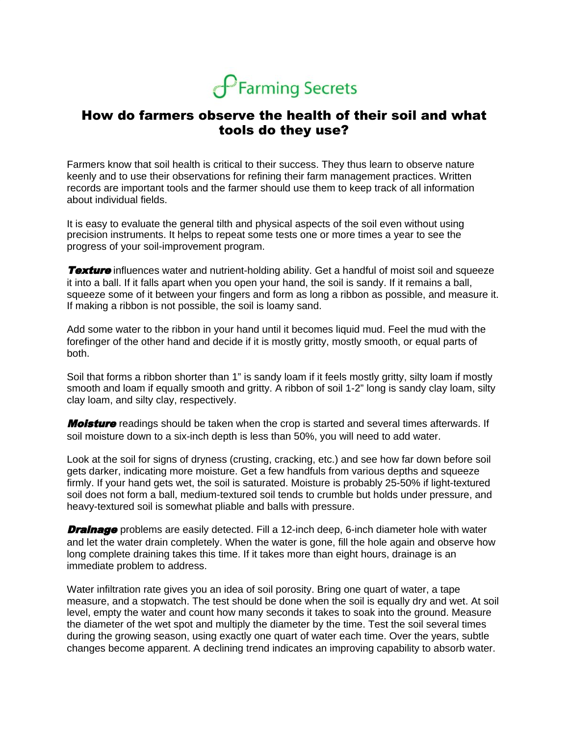

## How do farmers observe the health of their soil and what tools do they use?

Farmers know that soil health is critical to their success. They thus learn to observe nature keenly and to use their observations for refining their farm management practices. Written records are important tools and the farmer should use them to keep track of all information about individual fields.

It is easy to evaluate the general tilth and physical aspects of the soil even without using precision instruments. It helps to repeat some tests one or more times a year to see the progress of your soil-improvement program.

**Texture** influences water and nutrient-holding ability. Get a handful of moist soil and squeeze it into a ball. If it falls apart when you open your hand, the soil is sandy. If it remains a ball, squeeze some of it between your fingers and form as long a ribbon as possible, and measure it. If making a ribbon is not possible, the soil is loamy sand.

Add some water to the ribbon in your hand until it becomes liquid mud. Feel the mud with the forefinger of the other hand and decide if it is mostly gritty, mostly smooth, or equal parts of both.

Soil that forms a ribbon shorter than 1" is sandy loam if it feels mostly gritty, silty loam if mostly smooth and loam if equally smooth and gritty. A ribbon of soil 1-2" long is sandy clay loam, silty clay loam, and silty clay, respectively.

**Moisture** readings should be taken when the crop is started and several times afterwards. If soil moisture down to a six-inch depth is less than 50%, you will need to add water.

Look at the soil for signs of dryness (crusting, cracking, etc.) and see how far down before soil gets darker, indicating more moisture. Get a few handfuls from various depths and squeeze firmly. If your hand gets wet, the soil is saturated. Moisture is probably 25-50% if light-textured soil does not form a ball, medium-textured soil tends to crumble but holds under pressure, and heavy-textured soil is somewhat pliable and balls with pressure.

**Drainage** problems are easily detected. Fill a 12-inch deep, 6-inch diameter hole with water and let the water drain completely. When the water is gone, fill the hole again and observe how long complete draining takes this time. If it takes more than eight hours, drainage is an immediate problem to address.

Water infiltration rate gives you an idea of soil porosity. Bring one quart of water, a tape measure, and a stopwatch. The test should be done when the soil is equally dry and wet. At soil level, empty the water and count how many seconds it takes to soak into the ground. Measure the diameter of the wet spot and multiply the diameter by the time. Test the soil several times during the growing season, using exactly one quart of water each time. Over the years, subtle changes become apparent. A declining trend indicates an improving capability to absorb water.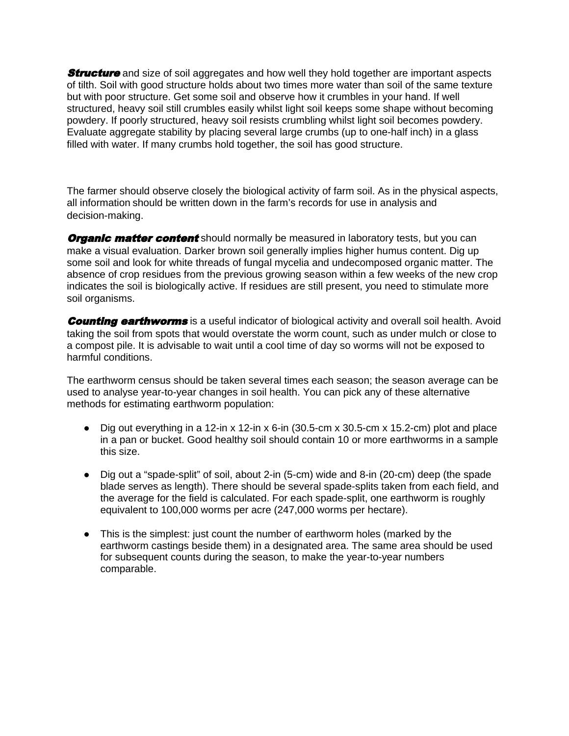**Structure** and size of soil aggregates and how well they hold together are important aspects of tilth. Soil with good structure holds about two times more water than soil of the same texture but with poor structure. Get some soil and observe how it crumbles in your hand. If well structured, heavy soil still crumbles easily whilst light soil keeps some shape without becoming powdery. If poorly structured, heavy soil resists crumbling whilst light soil becomes powdery. Evaluate aggregate stability by placing several large crumbs (up to one-half inch) in a glass filled with water. If many crumbs hold together, the soil has good structure.

The farmer should observe closely the biological activity of farm soil. As in the physical aspects, all information should be written down in the farm's records for use in analysis and decision-making.

**Organic matter content** should normally be measured in laboratory tests, but you can make a visual evaluation. Darker brown soil generally implies higher humus content. Dig up some soil and look for white threads of fungal mycelia and undecomposed organic matter. The absence of crop residues from the previous growing season within a few weeks of the new crop indicates the soil is biologically active. If residues are still present, you need to stimulate more soil organisms.

**Counting earthworms** is a useful indicator of biological activity and overall soil health. Avoid taking the soil from spots that would overstate the worm count, such as under mulch or close to a compost pile. It is advisable to wait until a cool time of day so worms will not be exposed to harmful conditions.

The earthworm census should be taken several times each season; the season average can be used to analyse year-to-year changes in soil health. You can pick any of these alternative methods for estimating earthworm population:

- Dig out everything in a 12-in x 12-in x 6-in (30.5-cm x 30.5-cm x 15.2-cm) plot and place in a pan or bucket. Good healthy soil should contain 10 or more earthworms in a sample this size.
- Dig out a "spade-split" of soil, about 2-in (5-cm) wide and 8-in (20-cm) deep (the spade blade serves as length). There should be several spade-splits taken from each field, and the average for the field is calculated. For each spade-split, one earthworm is roughly equivalent to 100,000 worms per acre (247,000 worms per hectare).
- This is the simplest: just count the number of earthworm holes (marked by the earthworm castings beside them) in a designated area. The same area should be used for subsequent counts during the season, to make the year-to-year numbers comparable.